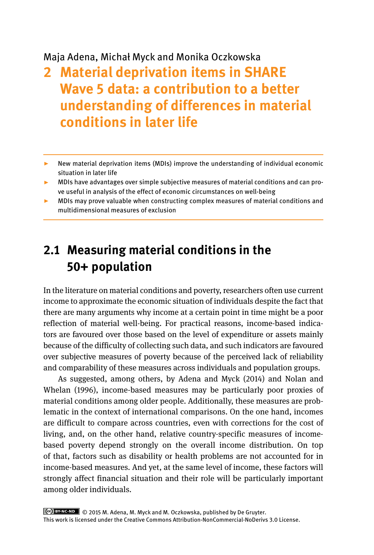### Maja Adena, Michał Myck and Monika Oczkowska

# **2 Material deprivation items in SHARE Wave 5 data: a contribution to a better understanding of differences in material conditions in later life**

- ▸ New material deprivation items (MDIs) improve the understanding of individual economic situation in later life
- ▸ MDIs have advantages over simple subjective measures of material conditions and can prove useful in analysis of the effect of economic circumstances on well-being
- ▸ MDIs may prove valuable when constructing complex measures of material conditions and multidimensional measures of exclusion

# **2.1 Measuring material conditions in the 50+ population**

In the literature on material conditions and poverty, researchers often use current income to approximate the economic situation of individuals despite the fact that there are many arguments why income at a certain point in time might be a poor reflection of material well-being. For practical reasons, income-based indicators are favoured over those based on the level of expenditure or assets mainly because of the difficulty of collecting such data, and such indicators are favoured over subjective measures of poverty because of the perceived lack of reliability and comparability of these measures across individuals and population groups.

As suggested, among others, by Adena and Myck (2014) and Nolan and Whelan (1996), income-based measures may be particularly poor proxies of material conditions among older people. Additionally, these measures are problematic in the context of international comparisons. On the one hand, incomes are difficult to compare across countries, even with corrections for the cost of living, and, on the other hand, relative country-specific measures of incomebased poverty depend strongly on the overall income distribution. On top of that, factors such as disability or health problems are not accounted for in income-based measures. And yet, at the same level of income, these factors will strongly affect financial situation and their role will be particularly important among older individuals.

 © 2015 M. Adena, M. Myck and M. Oczkowska, published by De Gruyter. This work is licensed under the Creative Commons Attribution-NonCommercial-NoDerivs 3.0 License.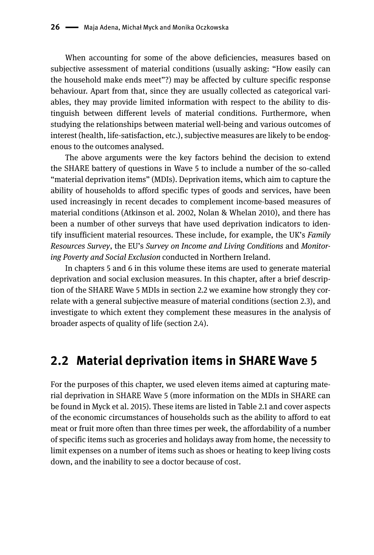When accounting for some of the above deficiencies, measures based on subjective assessment of material conditions (usually asking: "How easily can the household make ends meet"?) may be affected by culture specific response behaviour. Apart from that, since they are usually collected as categorical variables, they may provide limited information with respect to the ability to distinguish between different levels of material conditions. Furthermore, when studying the relationships between material well-being and various outcomes of interest (health, life-satisfaction, etc.), subjective measures are likely to be endogenous to the outcomes analysed.

The above arguments were the key factors behind the decision to extend the SHARE battery of questions in Wave 5 to include a number of the so-called "material deprivation items" (MDIs). Deprivation items, which aim to capture the ability of households to afford specific types of goods and services, have been used increasingly in recent decades to complement income-based measures of material conditions (Atkinson et al. 2002, Nolan & Whelan 2010), and there has been a number of other surveys that have used deprivation indicators to identify insufficient material resources. These include, for example, the UK's *Family Resources Survey*, the EU's *Survey on Income and Living Conditions* and *Monitoring Poverty and Social Exclusion* conducted in Northern Ireland.

In chapters 5 and 6 in this volume these items are used to generate material deprivation and social exclusion measures. In this chapter, after a brief description of the SHARE Wave 5 MDIs in section 2.2 we examine how strongly they correlate with a general subjective measure of material conditions (section 2.3), and investigate to which extent they complement these measures in the analysis of broader aspects of quality of life (section 2.4).

### **2.2 Material deprivation items in SHARE Wave 5**

For the purposes of this chapter, we used eleven items aimed at capturing material deprivation in SHARE Wave 5 (more information on the MDIs in SHARE can be found in Myck et al. 2015). These items are listed in Table 2.1 and cover aspects of the economic circumstances of households such as the ability to afford to eat meat or fruit more often than three times per week, the affordability of a number of specific items such as groceries and holidays away from home, the necessity to limit expenses on a number of items such as shoes or heating to keep living costs down, and the inability to see a doctor because of cost.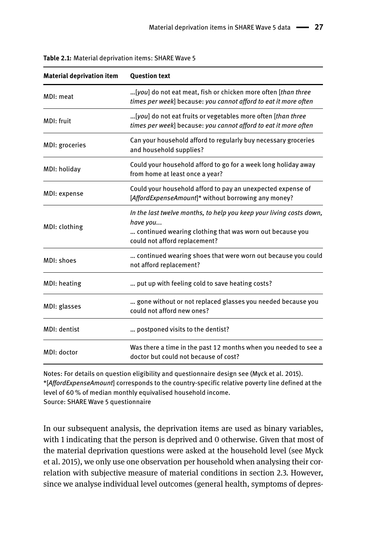| <b>Material deprivation item</b> | <b>Question text</b>                                                                                                                                                         |  |
|----------------------------------|------------------------------------------------------------------------------------------------------------------------------------------------------------------------------|--|
| MDI: meat                        | [you] do not eat meat, fish or chicken more often [than three]<br>times per week] because: you cannot afford to eat it more often                                            |  |
| MDI: fruit                       | [you] do not eat fruits or vegetables more often [than three]<br>times per week] because: you cannot afford to eat it more often                                             |  |
| MDI: groceries                   | Can your household afford to regularly buy necessary groceries<br>and household supplies?                                                                                    |  |
| MDI: holiday                     | Could your household afford to go for a week long holiday away<br>from home at least once a year?                                                                            |  |
| MDI: expense                     | Could your household afford to pay an unexpected expense of<br>[AffordExpenseAmount]* without borrowing any money?                                                           |  |
| MDI: clothing                    | In the last twelve months, to help you keep your living costs down,<br>have you<br>continued wearing clothing that was worn out because you<br>could not afford replacement? |  |
| MDI: shoes                       | continued wearing shoes that were worn out because you could<br>not afford replacement?                                                                                      |  |
| MDI: heating                     | put up with feeling cold to save heating costs?                                                                                                                              |  |
| MDI: glasses                     | gone without or not replaced glasses you needed because you<br>could not afford new ones?                                                                                    |  |
| MDI: dentist                     | postponed visits to the dentist?                                                                                                                                             |  |
| MDI: doctor                      | Was there a time in the past 12 months when you needed to see a<br>doctor but could not because of cost?                                                                     |  |

| Table 2.1: Material deprivation items: SHARE Wave 5 |
|-----------------------------------------------------|
|-----------------------------------------------------|

Notes: For details on question eligibility and questionnaire design see (Myck et al. 2015). \*[*AffordExpenseAmount*] corresponds to the country-specific relative poverty line defined at the level of 60 % of median monthly equivalised household income. Source: SHARE Wave 5 questionnaire

In our subsequent analysis, the deprivation items are used as binary variables, with 1 indicating that the person is deprived and 0 otherwise. Given that most of the material deprivation questions were asked at the household level (see Myck et al. 2015), we only use one observation per household when analysing their correlation with subjective measure of material conditions in section 2.3. However, since we analyse individual level outcomes (general health, symptoms of depres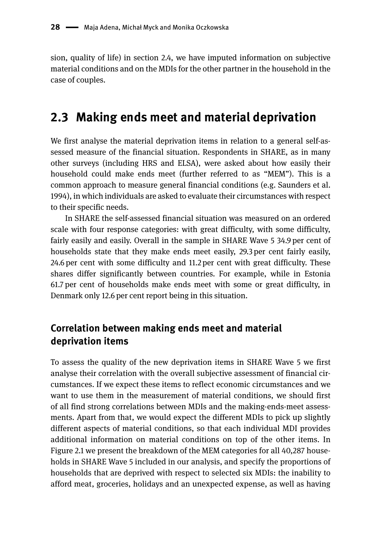sion, quality of life) in section 2.4, we have imputed information on subjective material conditions and on the MDIs for the other partner in the household in the case of couples.

### **2.3 Making ends meet and material deprivation**

We first analyse the material deprivation items in relation to a general self-assessed measure of the financial situation. Respondents in SHARE, as in many other surveys (including HRS and ELSA), were asked about how easily their household could make ends meet (further referred to as "MEM"). This is a common approach to measure general financial conditions (e.g. Saunders et al. 1994), in which individuals are asked to evaluate their circumstances with respect to their specific needs.

In SHARE the self-assessed financial situation was measured on an ordered scale with four response categories: with great difficulty, with some difficulty, fairly easily and easily. Overall in the sample in SHARE Wave 5 34.9 per cent of households state that they make ends meet easily, 29.3 per cent fairly easily, 24.6 per cent with some difficulty and 11.2 per cent with great difficulty. These shares differ significantly between countries. For example, while in Estonia 61.7 per cent of households make ends meet with some or great difficulty, in Denmark only 12.6 per cent report being in this situation.

#### **Correlation between making ends meet and material deprivation items**

To assess the quality of the new deprivation items in SHARE Wave 5 we first analyse their correlation with the overall subjective assessment of financial circumstances. If we expect these items to reflect economic circumstances and we want to use them in the measurement of material conditions, we should first of all find strong correlations between MDIs and the making-ends-meet assessments. Apart from that, we would expect the different MDIs to pick up slightly different aspects of material conditions, so that each individual MDI provides additional information on material conditions on top of the other items. In Figure 2.1 we present the breakdown of the MEM categories for all 40,287 households in SHARE Wave 5 included in our analysis, and specify the proportions of households that are deprived with respect to selected six MDIs: the inability to afford meat, groceries, holidays and an unexpected expense, as well as having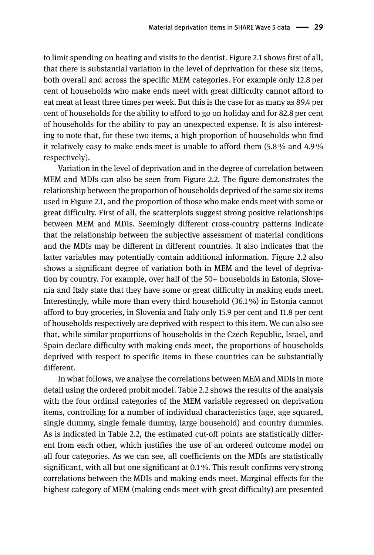to limit spending on heating and visits to the dentist. Figure 2.1 shows first of all, that there is substantial variation in the level of deprivation for these six items, both overall and across the specific MEM categories. For example only 12.8 per cent of households who make ends meet with great difficulty cannot afford to eat meat at least three times per week. But this is the case for as many as 89.4 per cent of households for the ability to afford to go on holiday and for 82.8 per cent of households for the ability to pay an unexpected expense. It is also interesting to note that, for these two items, a high proportion of households who find it relatively easy to make ends meet is unable to afford them (5.8 % and 4.9 % respectively).

Variation in the level of deprivation and in the degree of correlation between MEM and MDIs can also be seen from Figure 2.2. The figure demonstrates the relationship between the proportion of households deprived of the same six items used in Figure 2.1, and the proportion of those who make ends meet with some or great difficulty. First of all, the scatterplots suggest strong positive relationships between MEM and MDIs. Seemingly different cross-country patterns indicate that the relationship between the subjective assessment of material conditions and the MDIs may be different in different countries. It also indicates that the latter variables may potentially contain additional information. Figure 2.2 also shows a significant degree of variation both in MEM and the level of deprivation by country. For example, over half of the 50+ households in Estonia, Slovenia and Italy state that they have some or great difficulty in making ends meet. Interestingly, while more than every third household (36.1 %) in Estonia cannot afford to buy groceries, in Slovenia and Italy only 15.9 per cent and 11.8 per cent of households respectively are deprived with respect to this item. We can also see that, while similar proportions of households in the Czech Republic, Israel, and Spain declare difficulty with making ends meet, the proportions of households deprived with respect to specific items in these countries can be substantially different.

In what follows, we analyse the correlations between MEM and MDIs in more detail using the ordered probit model. Table 2.2 shows the results of the analysis with the four ordinal categories of the MEM variable regressed on deprivation items, controlling for a number of individual characteristics (age, age squared, single dummy, single female dummy, large household) and country dummies. As is indicated in Table 2.2, the estimated cut-off points are statistically different from each other, which justifies the use of an ordered outcome model on all four categories. As we can see, all coefficients on the MDIs are statistically significant, with all but one significant at 0.1 %. This result confirms very strong correlations between the MDIs and making ends meet. Marginal effects for the highest category of MEM (making ends meet with great difficulty) are presented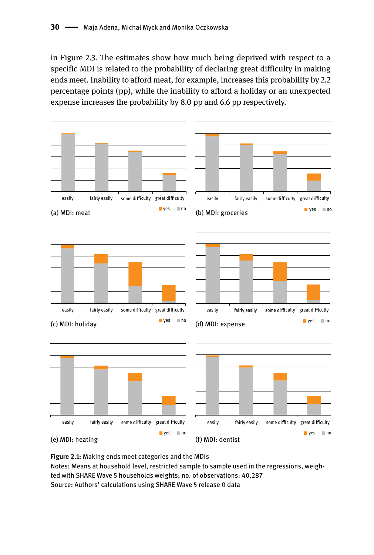in Figure 2.3. The estimates show how much being deprived with respect to a specific MDI is related to the probability of declaring great difficulty in making ends meet. Inability to afford meat, for example, increases this probability by 2.2 percentage points (pp), while the inability to afford a holiday or an unexpected expense increases the probability by 8.0 pp and 6.6 pp respectively.



**Figure 2.1:** Making ends meet categories and the MDIs Notes: Means at household level, restricted sample to sample used in the regressions, weighted with SHARE Wave 5 households weights; no. of observations: 40,287 Source: Authors' calculations using SHARE Wave 5 release 0 data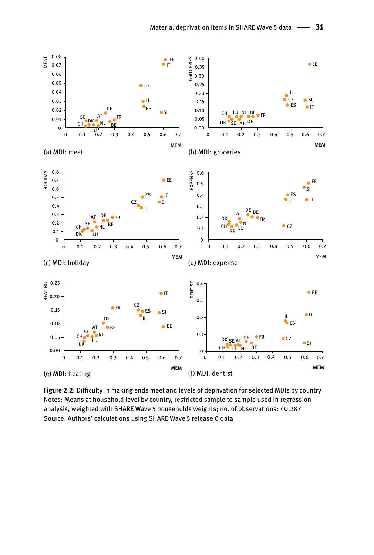

**Figure 2.2:** Difficulty in making ends meet and levels of deprivation for selected MDIs by country Notes: Means at household level by country, restricted sample to sample used in regression analysis, weighted with SHARE Wave 5 households weights; no. of observations: 40,287 Source: Authors' calculations using SHARE Wave 5 release 0 data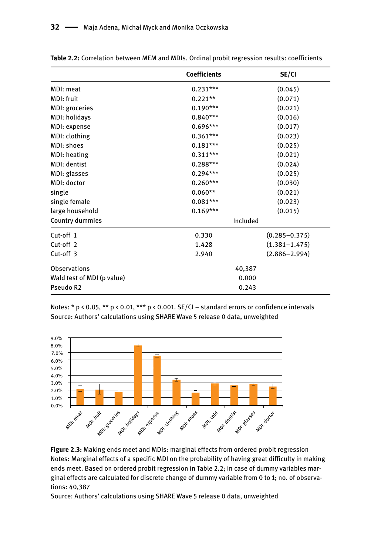|                            | <b>Coefficients</b>   | SE/CI             |  |
|----------------------------|-----------------------|-------------------|--|
| MDI: meat                  | $0.231***$            | (0.045)           |  |
| MDI: fruit                 | $0.221**$             | (0.071)           |  |
| MDI: groceries             | $0.190***$            | (0.021)           |  |
| MDI: holidays              | $0.840***$            | (0.016)           |  |
| MDI: expense               | $0.696***$            | (0.017)           |  |
| MDI: clothing              | $0.361***$            | (0.023)           |  |
| MDI: shoes                 | $0.181***$            | (0.025)           |  |
| MDI: heating               | $0.311***$            | (0.021)           |  |
| MDI: dentist               | $0.288***$            | (0.024)           |  |
| MDI: glasses               | $0.294***$            | (0.025)           |  |
| MDI: doctor                | $0.260***$            | (0.030)           |  |
| single                     | $0.060**$             | (0.021)           |  |
| single female              | $0.081***$            | (0.023)           |  |
| large household            | $0.169***$<br>(0.015) |                   |  |
| Country dummies            | Included              |                   |  |
| Cut-off 1                  | 0.330                 | $(0.285 - 0.375)$ |  |
| Cut-off <sub>2</sub>       | 1.428                 | $(1.381 - 1.475)$ |  |
| Cut-off 3                  | 2.940                 | $(2.886 - 2.994)$ |  |
| Observations               | 40,387                |                   |  |
| Wald test of MDI (p value) | 0.000                 |                   |  |
| Pseudo R2                  | 0.243                 |                   |  |

**Table 2.2:** Correlation between MEM and MDIs. Ordinal probit regression results: coefficients

Notes: \* p < 0.05, \*\* p < 0.01, \*\*\* p < 0.001. SE/CI – standard errors or confidence intervals Source: Authors' calculations using SHARE Wave 5 release 0 data, unweighted



**Figure 2.3:** Making ends meet and MDIs: marginal effects from ordered probit regression Notes: Marginal effects of a specific MDI on the probability of having great difficulty in making ends meet. Based on ordered probit regression in Table 2.2; in case of dummy variables marginal effects are calculated for discrete change of dummy variable from 0 to 1; no. of observations: 40,387

Source: Authors' calculations using SHARE Wave 5 release 0 data, unweighted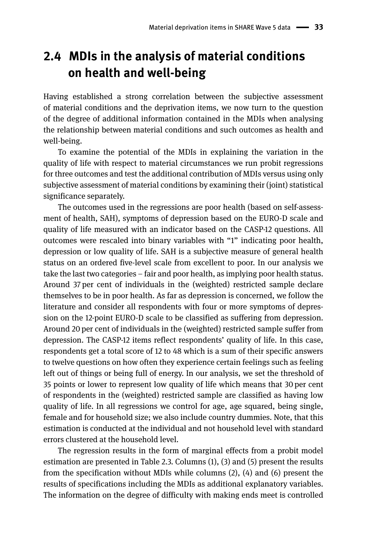# **2.4 MDIs in the analysis of material conditions on health and well-being**

Having established a strong correlation between the subjective assessment of material conditions and the deprivation items, we now turn to the question of the degree of additional information contained in the MDIs when analysing the relationship between material conditions and such outcomes as health and well-being.

To examine the potential of the MDIs in explaining the variation in the quality of life with respect to material circumstances we run probit regressions for three outcomes and test the additional contribution of MDIs versus using only subjective assessment of material conditions by examining their (joint) statistical significance separately.

The outcomes used in the regressions are poor health (based on self-assessment of health, SAH), symptoms of depression based on the EURO-D scale and quality of life measured with an indicator based on the CASP-12 questions. All outcomes were rescaled into binary variables with "1" indicating poor health, depression or low quality of life. SAH is a subjective measure of general health status on an ordered five-level scale from excellent to poor. In our analysis we take the last two categories – fair and poor health, as implying poor health status. Around 37 per cent of individuals in the (weighted) restricted sample declare themselves to be in poor health. As far as depression is concerned, we follow the literature and consider all respondents with four or more symptoms of depression on the 12-point EURO-D scale to be classified as suffering from depression. Around 20 per cent of individuals in the (weighted) restricted sample suffer from depression. The CASP-12 items reflect respondents' quality of life. In this case, respondents get a total score of 12 to 48 which is a sum of their specific answers to twelve questions on how often they experience certain feelings such as feeling left out of things or being full of energy. In our analysis, we set the threshold of 35 points or lower to represent low quality of life which means that 30 per cent of respondents in the (weighted) restricted sample are classified as having low quality of life. In all regressions we control for age, age squared, being single, female and for household size; we also include country dummies. Note, that this estimation is conducted at the individual and not household level with standard errors clustered at the household level.

The regression results in the form of marginal effects from a probit model estimation are presented in Table 2.3. Columns (1), (3) and (5) present the results from the specification without MDIs while columns (2), (4) and (6) present the results of specifications including the MDIs as additional explanatory variables. The information on the degree of difficulty with making ends meet is controlled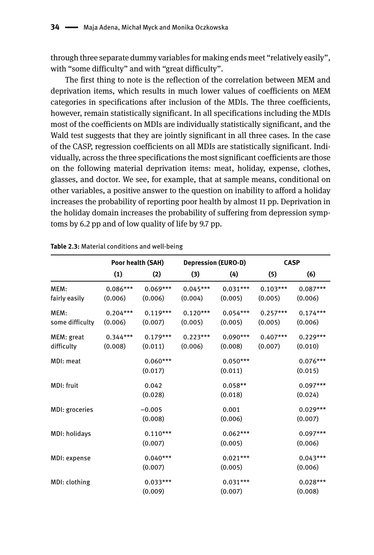through three separate dummy variables for making ends meet "relatively easily", with "some difficulty" and with "great difficulty".

The first thing to note is the reflection of the correlation between MEM and deprivation items, which results in much lower values of coefficients on MEM categories in specifications after inclusion of the MDIs. The three coefficients, however, remain statistically significant. In all specifications including the MDIs most of the coefficients on MDIs are individually statistically significant, and the Wald test suggests that they are jointly significant in all three cases. In the case of the CASP, regression coefficients on all MDIs are statistically significant. Individually, across the three specifications the most significant coefficients are those on the following material deprivation items: meat, holiday, expense, clothes, glasses, and doctor. We see, for example, that at sample means, conditional on other variables, a positive answer to the question on inability to afford a holiday increases the probability of reporting poor health by almost 11 pp. Deprivation in the holiday domain increases the probability of suffering from depression symptoms by 6.2 pp and of low quality of life by 9.7 pp.

|                 | Poor health (SAH) |            | <b>Depression (EURO-D)</b> |            | <b>CASP</b> |            |
|-----------------|-------------------|------------|----------------------------|------------|-------------|------------|
|                 | (1)               | (2)        | (3)                        | (4)        | (5)         | (6)        |
| MEM:            | $0.086***$        | $0.069***$ | $0.045***$                 | $0.031***$ | $0.103***$  | $0.087***$ |
| fairly easily   | (0.006)           | (0.006)    | (0.004)                    | (0.005)    | (0.005)     | (0.006)    |
| MEM:            | $0.204***$        | $0.119***$ | $0.120***$                 | $0.054***$ | $0.257***$  | $0.174***$ |
| some difficulty | (0.006)           | (0.007)    | (0.005)                    | (0.005)    | (0.005)     | (0.006)    |
| MEM: great      | $0.344***$        | $0.179***$ | $0.223***$                 | $0.090***$ | $0.407***$  | $0.229***$ |
| difficulty      | (0.008)           | (0.011)    | (0.006)                    | (0.008)    | (0.007)     | (0.010)    |
| MDI: meat       |                   | $0.060***$ |                            | $0.050***$ |             | $0.076***$ |
|                 |                   | (0.017)    |                            | (0.011)    |             | (0.015)    |
| MDI: fruit      |                   | 0.042      |                            | $0.058**$  |             | $0.097***$ |
|                 |                   | (0.028)    |                            | (0.018)    |             | (0.024)    |
| MDI: groceries  |                   | $-0.005$   |                            | 0.001      |             | $0.029***$ |
|                 |                   | (0.008)    |                            | (0.006)    |             | (0.007)    |
| MDI: holidays   |                   | $0.110***$ |                            | $0.062***$ |             | $0.097***$ |
|                 |                   | (0.007)    |                            | (0.005)    |             | (0.006)    |
| MDI: expense    |                   | $0.040***$ |                            | $0.021***$ |             | $0.043***$ |
|                 |                   | (0.007)    |                            | (0.005)    |             | (0.006)    |
| MDI: clothing   |                   | $0.033***$ |                            | $0.031***$ |             | $0.028***$ |
|                 |                   | (0.009)    |                            | (0.007)    |             | (0.008)    |

#### **Table 2.3:** Material conditions and well-being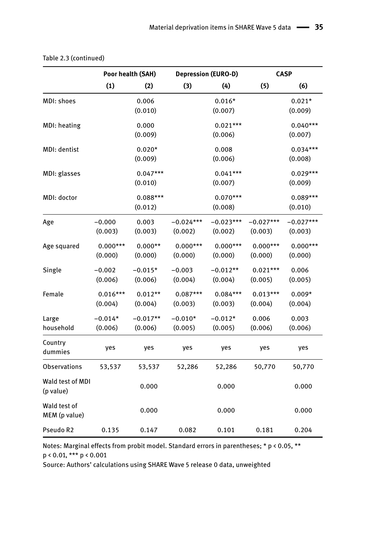|                               | Poor health (SAH) |            | <b>Depression (EURO-D)</b> |             | <b>CASP</b> |             |
|-------------------------------|-------------------|------------|----------------------------|-------------|-------------|-------------|
|                               | (1)               | (2)        | (3)                        | (4)         | (5)         | (6)         |
| MDI: shoes                    |                   | 0.006      |                            | $0.016*$    |             | $0.021*$    |
|                               |                   | (0.010)    |                            | (0.007)     |             | (0.009)     |
| MDI: heating                  |                   | 0.000      |                            | $0.021***$  |             | $0.040***$  |
|                               |                   | (0.009)    |                            | (0.006)     |             | (0.007)     |
| MDI: dentist                  |                   | $0.020*$   |                            | 0.008       |             | $0.034***$  |
|                               |                   | (0.009)    |                            | (0.006)     |             | (0.008)     |
| MDI: glasses                  |                   | $0.047***$ |                            | $0.041***$  |             | $0.029***$  |
|                               |                   | (0.010)    |                            | (0.007)     |             | (0.009)     |
| MDI: doctor                   |                   | $0.088***$ |                            | $0.070***$  |             | $0.089***$  |
|                               |                   | (0.012)    |                            | (0.008)     |             | (0.010)     |
| Age                           | $-0.000$          | 0.003      | $-0.024***$                | $-0.023***$ | $-0.027***$ | $-0.027***$ |
|                               | (0.003)           | (0.003)    | (0.002)                    | (0.002)     | (0.003)     | (0.003)     |
| Age squared                   | $0.000***$        | $0.000**$  | $0.000***$                 | $0.000***$  | $0.000***$  | $0.000***$  |
|                               | (0.000)           | (0.000)    | (0.000)                    | (0.000)     | (0.000)     | (0.000)     |
| Single                        | $-0.002$          | $-0.015*$  | $-0.003$                   | $-0.012**$  | $0.021***$  | 0.006       |
|                               | (0.006)           | (0.006)    | (0.004)                    | (0.004)     | (0.005)     | (0.005)     |
| Female                        | $0.016***$        | $0.012**$  | $0.087***$                 | $0.084***$  | $0.013***$  | $0.009*$    |
|                               | (0.004)           | (0.004)    | (0.003)                    | (0.003)     | (0.004)     | (0.004)     |
| Large                         | $-0.014*$         | $-0.017**$ | $-0.010*$                  | $-0.012*$   | 0.006       | 0.003       |
| household                     | (0.006)           | (0.006)    | (0.005)                    | (0.005)     | (0.006)     | (0.006)     |
| Country                       | yes               | yes        | yes                        | yes         | yes         | yes         |
| dummies                       |                   |            |                            |             |             |             |
| <b>Observations</b>           | 53,537            | 53,537     | 52,286                     | 52,286      | 50,770      | 50,770      |
| Wald test of MDI              |                   | 0.000      |                            | 0.000       |             | 0.000       |
| (p value)                     |                   |            |                            |             |             |             |
| Wald test of<br>MEM (p value) |                   | 0.000      |                            | 0.000       |             | 0.000       |
| Pseudo R2                     | 0.135             | 0.147      | 0.082                      | 0.101       | 0.181       | 0.204       |

| Table 2.3 (continued) |  |
|-----------------------|--|
|-----------------------|--|

Notes: Marginal effects from probit model. Standard errors in parentheses; \* p < 0.05, \*\* p < 0.01, \*\*\* p < 0.001

Source: Authors' calculations using SHARE Wave 5 release 0 data, unweighted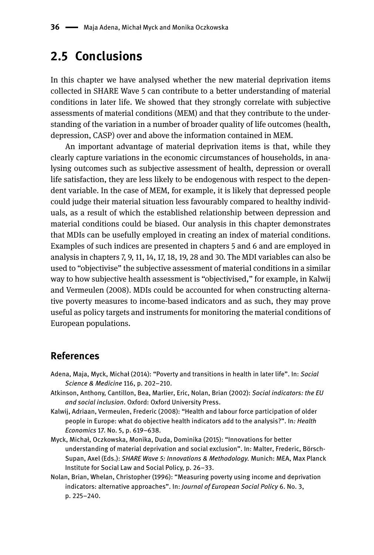## **2.5 Conclusions**

In this chapter we have analysed whether the new material deprivation items collected in SHARE Wave 5 can contribute to a better understanding of material conditions in later life. We showed that they strongly correlate with subjective assessments of material conditions (MEM) and that they contribute to the understanding of the variation in a number of broader quality of life outcomes (health, depression, CASP) over and above the information contained in MEM.

An important advantage of material deprivation items is that, while they clearly capture variations in the economic circumstances of households, in analysing outcomes such as subjective assessment of health, depression or overall life satisfaction, they are less likely to be endogenous with respect to the dependent variable. In the case of MEM, for example, it is likely that depressed people could judge their material situation less favourably compared to healthy individuals, as a result of which the established relationship between depression and material conditions could be biased. Our analysis in this chapter demonstrates that MDIs can be usefully employed in creating an index of material conditions. Examples of such indices are presented in chapters 5 and 6 and are employed in analysis in chapters 7, 9, 11, 14, 17, 18, 19, 28 and 30. The MDI variables can also be used to "objectivise" the subjective assessment of material conditions in a similar way to how subjective health assessment is "objectivised," for example, in Kalwij and Vermeulen (2008). MDIs could be accounted for when constructing alternative poverty measures to income-based indicators and as such, they may prove useful as policy targets and instruments for monitoring the material conditions of European populations.

#### **References**

- Adena, Maja, Myck, Michał (2014): "Poverty and transitions in health in later life". In: *Social Science & Medicine* 116, p. 202–210.
- Atkinson, Anthony, Cantillon, Bea, Marlier, Eric, Nolan, Brian (2002): *Social indicators: the EU and social inclusion*. Oxford: Oxford University Press.
- Kalwij, Adriaan, Vermeulen, Frederic (2008): "Health and labour force participation of older people in Europe: what do objective health indicators add to the analysis?". In*: Health Economics* 17. No. 5, p. 619–638.
- Myck, Michał, Oczkowska, Monika, Duda, Dominika (2015): "Innovations for better understanding of material deprivation and social exclusion". In: Malter, Frederic, Börsch-Supan, Axel (Eds.): *SHARE Wave 5: Innovations & Methodology.* Munich: MEA, Max Planck Institute for Social Law and Social Policy, p. 26–33.
- Nolan, Brian, Whelan, Christopher (1996): "Measuring poverty using income and deprivation indicators: alternative approaches". In: *Journal of European Social Policy* 6. No. 3, p. 225–240.